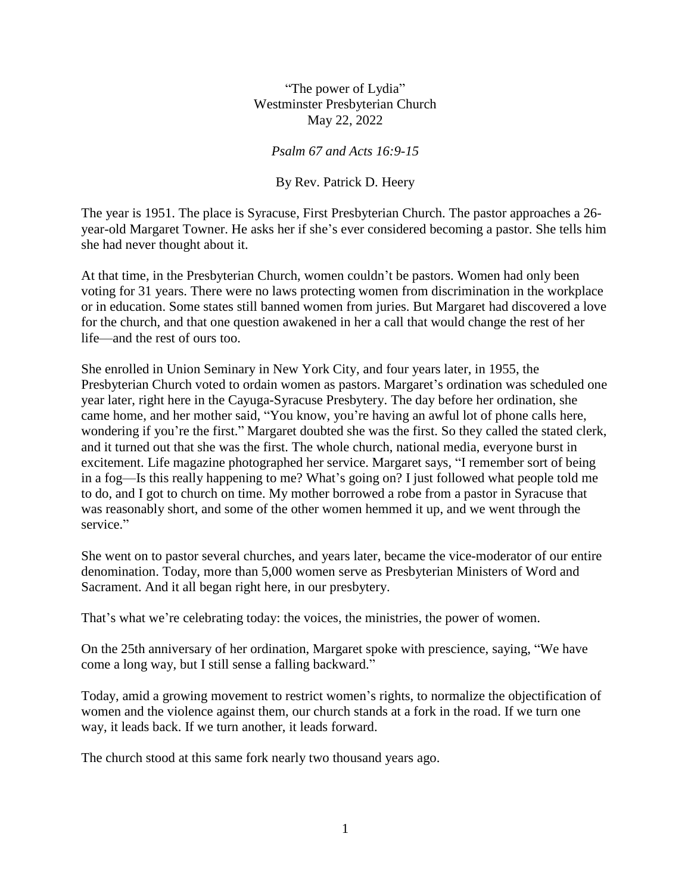"The power of Lydia" Westminster Presbyterian Church May 22, 2022

*Psalm 67 and Acts 16:9-15*

By Rev. Patrick D. Heery

The year is 1951. The place is Syracuse, First Presbyterian Church. The pastor approaches a 26 year-old Margaret Towner. He asks her if she's ever considered becoming a pastor. She tells him she had never thought about it.

At that time, in the Presbyterian Church, women couldn't be pastors. Women had only been voting for 31 years. There were no laws protecting women from discrimination in the workplace or in education. Some states still banned women from juries. But Margaret had discovered a love for the church, and that one question awakened in her a call that would change the rest of her life—and the rest of ours too.

She enrolled in Union Seminary in New York City, and four years later, in 1955, the Presbyterian Church voted to ordain women as pastors. Margaret's ordination was scheduled one year later, right here in the Cayuga-Syracuse Presbytery. The day before her ordination, she came home, and her mother said, "You know, you're having an awful lot of phone calls here, wondering if you're the first." Margaret doubted she was the first. So they called the stated clerk, and it turned out that she was the first. The whole church, national media, everyone burst in excitement. Life magazine photographed her service. Margaret says, "I remember sort of being in a fog—Is this really happening to me? What's going on? I just followed what people told me to do, and I got to church on time. My mother borrowed a robe from a pastor in Syracuse that was reasonably short, and some of the other women hemmed it up, and we went through the service."

She went on to pastor several churches, and years later, became the vice-moderator of our entire denomination. Today, more than 5,000 women serve as Presbyterian Ministers of Word and Sacrament. And it all began right here, in our presbytery.

That's what we're celebrating today: the voices, the ministries, the power of women.

On the 25th anniversary of her ordination, Margaret spoke with prescience, saying, "We have come a long way, but I still sense a falling backward."

Today, amid a growing movement to restrict women's rights, to normalize the objectification of women and the violence against them, our church stands at a fork in the road. If we turn one way, it leads back. If we turn another, it leads forward.

The church stood at this same fork nearly two thousand years ago.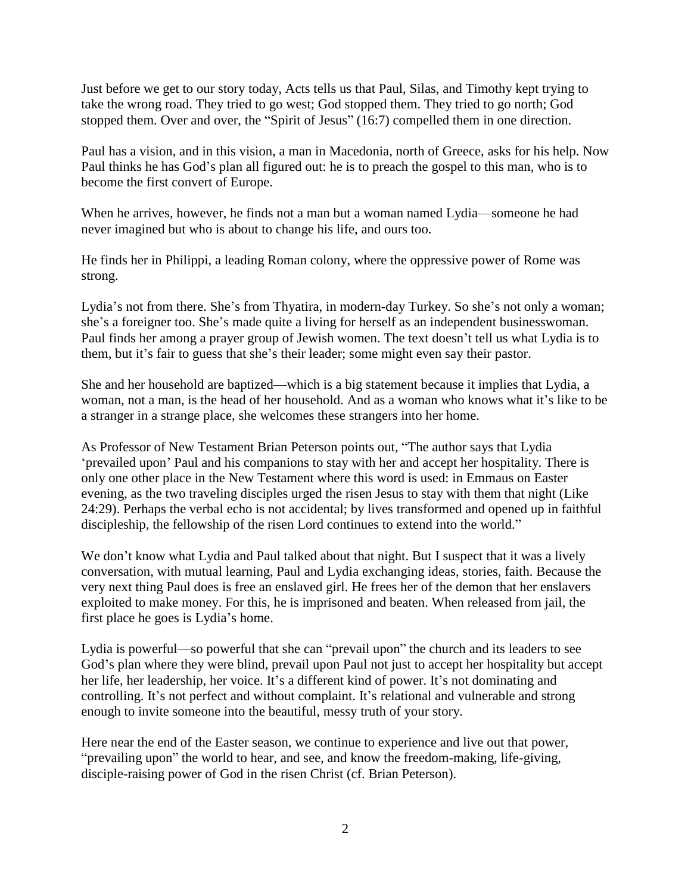Just before we get to our story today, Acts tells us that Paul, Silas, and Timothy kept trying to take the wrong road. They tried to go west; God stopped them. They tried to go north; God stopped them. Over and over, the "Spirit of Jesus" (16:7) compelled them in one direction.

Paul has a vision, and in this vision, a man in Macedonia, north of Greece, asks for his help. Now Paul thinks he has God's plan all figured out: he is to preach the gospel to this man, who is to become the first convert of Europe.

When he arrives, however, he finds not a man but a woman named Lydia—someone he had never imagined but who is about to change his life, and ours too.

He finds her in Philippi, a leading Roman colony, where the oppressive power of Rome was strong.

Lydia's not from there. She's from Thyatira, in modern-day Turkey. So she's not only a woman; she's a foreigner too. She's made quite a living for herself as an independent businesswoman. Paul finds her among a prayer group of Jewish women. The text doesn't tell us what Lydia is to them, but it's fair to guess that she's their leader; some might even say their pastor.

She and her household are baptized—which is a big statement because it implies that Lydia, a woman, not a man, is the head of her household. And as a woman who knows what it's like to be a stranger in a strange place, she welcomes these strangers into her home.

As Professor of New Testament Brian Peterson points out, "The author says that Lydia 'prevailed upon' Paul and his companions to stay with her and accept her hospitality. There is only one other place in the New Testament where this word is used: in Emmaus on Easter evening, as the two traveling disciples urged the risen Jesus to stay with them that night (Like 24:29). Perhaps the verbal echo is not accidental; by lives transformed and opened up in faithful discipleship, the fellowship of the risen Lord continues to extend into the world."

We don't know what Lydia and Paul talked about that night. But I suspect that it was a lively conversation, with mutual learning, Paul and Lydia exchanging ideas, stories, faith. Because the very next thing Paul does is free an enslaved girl. He frees her of the demon that her enslavers exploited to make money. For this, he is imprisoned and beaten. When released from jail, the first place he goes is Lydia's home.

Lydia is powerful—so powerful that she can "prevail upon" the church and its leaders to see God's plan where they were blind, prevail upon Paul not just to accept her hospitality but accept her life, her leadership, her voice. It's a different kind of power. It's not dominating and controlling. It's not perfect and without complaint. It's relational and vulnerable and strong enough to invite someone into the beautiful, messy truth of your story.

Here near the end of the Easter season, we continue to experience and live out that power, "prevailing upon" the world to hear, and see, and know the freedom-making, life-giving, disciple-raising power of God in the risen Christ (cf. Brian Peterson).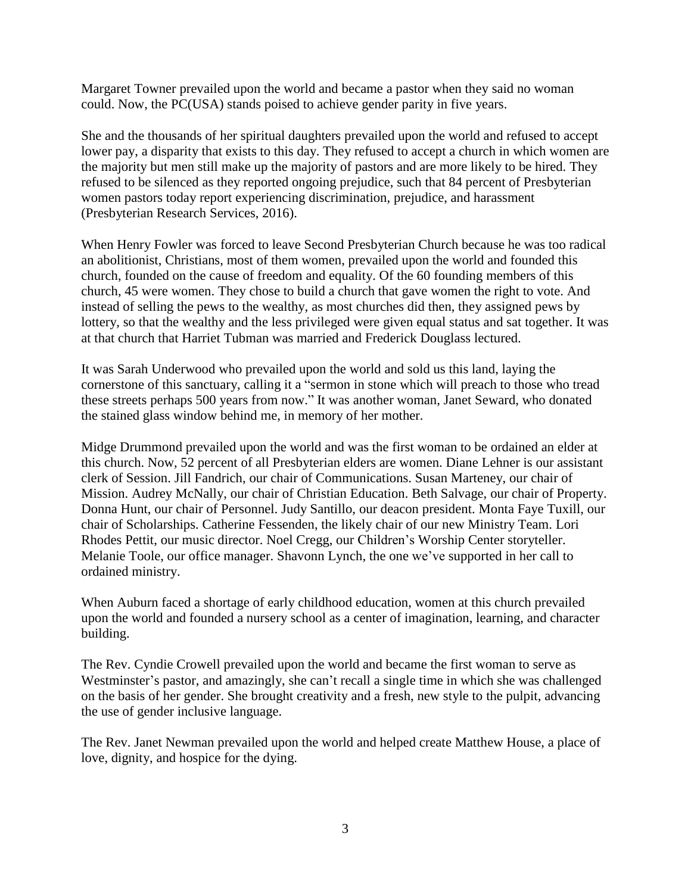Margaret Towner prevailed upon the world and became a pastor when they said no woman could. Now, the PC(USA) stands poised to achieve gender parity in five years.

She and the thousands of her spiritual daughters prevailed upon the world and refused to accept lower pay, a disparity that exists to this day. They refused to accept a church in which women are the majority but men still make up the majority of pastors and are more likely to be hired. They refused to be silenced as they reported ongoing prejudice, such that 84 percent of Presbyterian women pastors today report experiencing discrimination, prejudice, and harassment (Presbyterian Research Services, 2016).

When Henry Fowler was forced to leave Second Presbyterian Church because he was too radical an abolitionist, Christians, most of them women, prevailed upon the world and founded this church, founded on the cause of freedom and equality. Of the 60 founding members of this church, 45 were women. They chose to build a church that gave women the right to vote. And instead of selling the pews to the wealthy, as most churches did then, they assigned pews by lottery, so that the wealthy and the less privileged were given equal status and sat together. It was at that church that Harriet Tubman was married and Frederick Douglass lectured.

It was Sarah Underwood who prevailed upon the world and sold us this land, laying the cornerstone of this sanctuary, calling it a "sermon in stone which will preach to those who tread these streets perhaps 500 years from now." It was another woman, Janet Seward, who donated the stained glass window behind me, in memory of her mother.

Midge Drummond prevailed upon the world and was the first woman to be ordained an elder at this church. Now, 52 percent of all Presbyterian elders are women. Diane Lehner is our assistant clerk of Session. Jill Fandrich, our chair of Communications. Susan Marteney, our chair of Mission. Audrey McNally, our chair of Christian Education. Beth Salvage, our chair of Property. Donna Hunt, our chair of Personnel. Judy Santillo, our deacon president. Monta Faye Tuxill, our chair of Scholarships. Catherine Fessenden, the likely chair of our new Ministry Team. Lori Rhodes Pettit, our music director. Noel Cregg, our Children's Worship Center storyteller. Melanie Toole, our office manager. Shavonn Lynch, the one we've supported in her call to ordained ministry.

When Auburn faced a shortage of early childhood education, women at this church prevailed upon the world and founded a nursery school as a center of imagination, learning, and character building.

The Rev. Cyndie Crowell prevailed upon the world and became the first woman to serve as Westminster's pastor, and amazingly, she can't recall a single time in which she was challenged on the basis of her gender. She brought creativity and a fresh, new style to the pulpit, advancing the use of gender inclusive language.

The Rev. Janet Newman prevailed upon the world and helped create Matthew House, a place of love, dignity, and hospice for the dying.